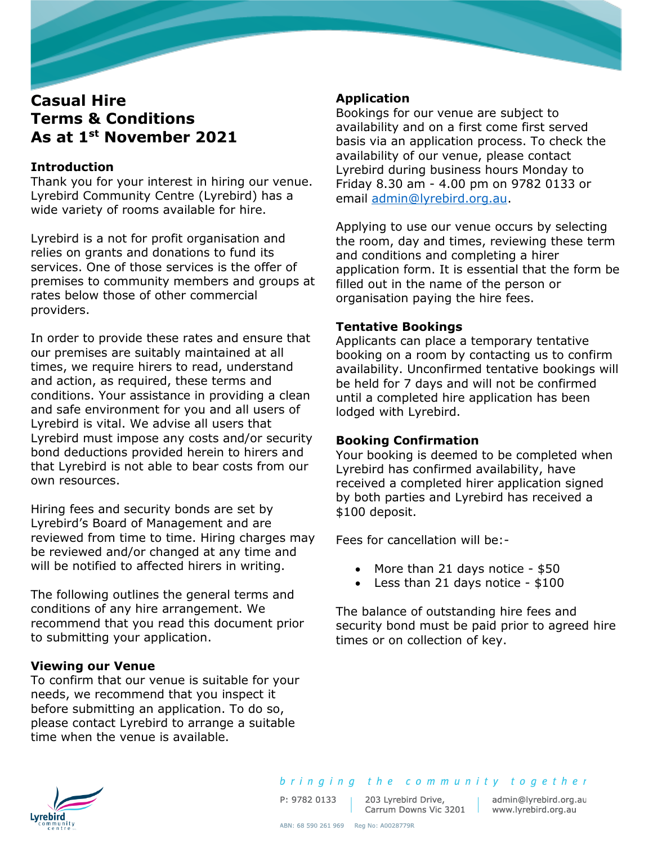# **Casual Hire Terms & Conditions As at 1st November 2021**

# **Introduction**

Thank you for your interest in hiring our venue. Lyrebird Community Centre (Lyrebird) has a wide variety of rooms available for hire.

Lyrebird is a not for profit organisation and relies on grants and donations to fund its services. One of those services is the offer of premises to community members and groups at rates below those of other commercial providers.

In order to provide these rates and ensure that our premises are suitably maintained at all times, we require hirers to read, understand and action, as required, these terms and conditions. Your assistance in providing a clean and safe environment for you and all users of Lyrebird is vital. We advise all users that Lyrebird must impose any costs and/or security bond deductions provided herein to hirers and that Lyrebird is not able to bear costs from our own resources.

Hiring fees and security bonds are set by Lyrebird's Board of Management and are reviewed from time to time. Hiring charges may be reviewed and/or changed at any time and will be notified to affected hirers in writing.

The following outlines the general terms and conditions of any hire arrangement. We recommend that you read this document prior to submitting your application.

#### **Viewing our Venue**

To confirm that our venue is suitable for your needs, we recommend that you inspect it before submitting an application. To do so, please contact Lyrebird to arrange a suitable time when the venue is available.

# **Application**

Bookings for our venue are subject to availability and on a first come first served basis via an application process. To check the availability of our venue, please contact Lyrebird during business hours Monday to Friday 8.30 am - 4.00 pm on 9782 0133 or email [admin@lyrebird.org.au.](mailto:admin@lyrebird.org.au)

Applying to use our venue occurs by selecting the room, day and times, reviewing these term and conditions and completing a hirer application form. It is essential that the form be filled out in the name of the person or organisation paying the hire fees.

# **Tentative Bookings**

Applicants can place a temporary tentative booking on a room by contacting us to confirm availability. Unconfirmed tentative bookings will be held for 7 days and will not be confirmed until a completed hire application has been lodged with Lyrebird.

#### **Booking Confirmation**

Your booking is deemed to be completed when Lyrebird has confirmed availability, have received a completed hirer application signed by both parties and Lyrebird has received a \$100 deposit.

Fees for cancellation will be:-

- More than 21 days notice \$50
- Less than 21 days notice \$100

The balance of outstanding hire fees and security bond must be paid prior to agreed hire times or on collection of key.



P: 9782 0133

203 Lyrebird Drive, 203 Lyrebird Drive, admin@lyrebird.org.<br>Carrum Downs Vic 3201 www.lyrebird.org.au

admin@lyrebird.org.au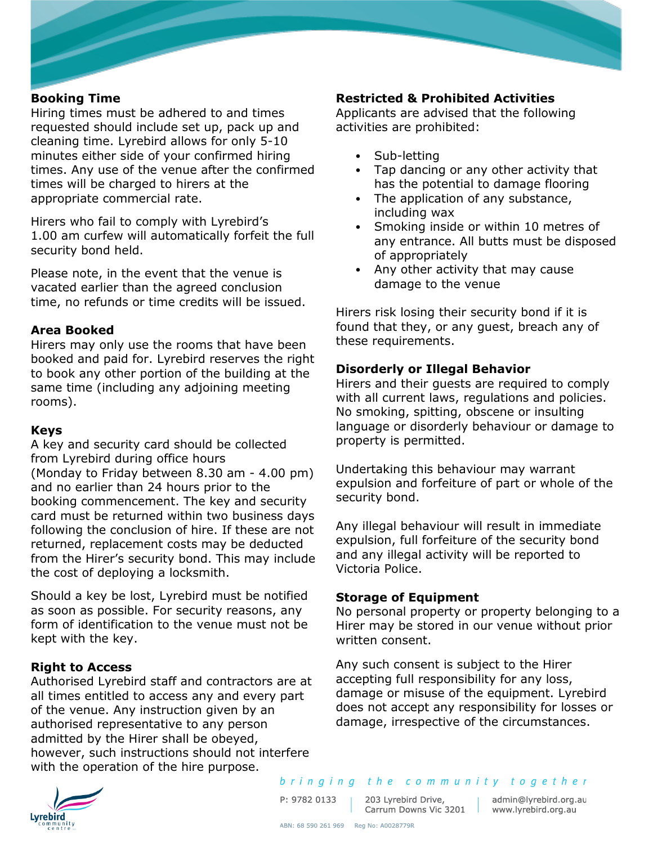### **Booking Time**

Hiring times must be adhered to and times requested should include set up, pack up and cleaning time. Lyrebird allows for only 5-10 minutes either side of your confirmed hiring times. Any use of the venue after the confirmed times will be charged to hirers at the appropriate commercial rate.

Hirers who fail to comply with Lyrebird's 1.00 am curfew will automatically forfeit the full security bond held.

Please note, in the event that the venue is vacated earlier than the agreed conclusion time, no refunds or time credits will be issued.

### **Area Booked**

Hirers may only use the rooms that have been booked and paid for. Lyrebird reserves the right to book any other portion of the building at the same time (including any adjoining meeting rooms).

#### **Keys**

A key and security card should be collected from Lyrebird during office hours (Monday to Friday between 8.30 am - 4.00 pm) and no earlier than 24 hours prior to the booking commencement. The key and security card must be returned within two business days following the conclusion of hire. If these are not returned, replacement costs may be deducted from the Hirer's security bond. This may include the cost of deploying a locksmith.

Should a key be lost, Lyrebird must be notified as soon as possible. For security reasons, any form of identification to the venue must not be kept with the key.

# **Right to Access**

Authorised Lyrebird staff and contractors are at all times entitled to access any and every part of the venue. Any instruction given by an authorised representative to any person admitted by the Hirer shall be obeyed, however, such instructions should not interfere with the operation of the hire purpose.

# **Restricted & Prohibited Activities**

Applicants are advised that the following activities are prohibited:

- Sub-letting
- Tap dancing or any other activity that has the potential to damage flooring
- The application of any substance, including wax
- Smoking inside or within 10 metres of any entrance. All butts must be disposed of appropriately
- Any other activity that may cause damage to the venue

Hirers risk losing their security bond if it is found that they, or any guest, breach any of these requirements.

### **Disorderly or Illegal Behavior**

Hirers and their guests are required to comply with all current laws, regulations and policies. No smoking, spitting, obscene or insulting language or disorderly behaviour or damage to property is permitted.

Undertaking this behaviour may warrant expulsion and forfeiture of part or whole of the security bond.

Any illegal behaviour will result in immediate expulsion, full forfeiture of the security bond and any illegal activity will be reported to Victoria Police.

#### **Storage of Equipment**

No personal property or property belonging to a Hirer may be stored in our venue without prior written consent.

Any such consent is subject to the Hirer accepting full responsibility for any loss, damage or misuse of the equipment. Lyrebird does not accept any responsibility for losses or damage, irrespective of the circumstances.



bringing the community together

P: 9782 0133

203 Lyrebird Drive, Carrum Downs Vic 3201 | www.lyrebird.org.au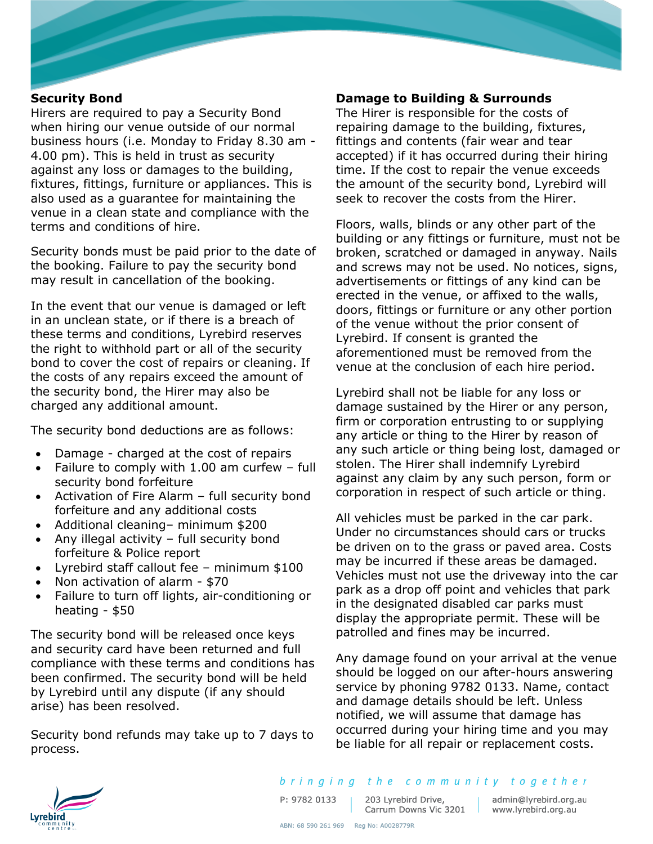#### **Security Bond**

Hirers are required to pay a Security Bond when hiring our venue outside of our normal business hours (i.e. Monday to Friday 8.30 am - 4.00 pm). This is held in trust as security against any loss or damages to the building, fixtures, fittings, furniture or appliances. This is also used as a guarantee for maintaining the venue in a clean state and compliance with the terms and conditions of hire.

Security bonds must be paid prior to the date of the booking. Failure to pay the security bond may result in cancellation of the booking.

In the event that our venue is damaged or left in an unclean state, or if there is a breach of these terms and conditions, Lyrebird reserves the right to withhold part or all of the security bond to cover the cost of repairs or cleaning. If the costs of any repairs exceed the amount of the security bond, the Hirer may also be charged any additional amount.

The security bond deductions are as follows:

- Damage charged at the cost of repairs
- Failure to comply with 1.00 am curfew full security bond forfeiture
- Activation of Fire Alarm full security bond forfeiture and any additional costs
- Additional cleaning– minimum \$200
- Any illegal activity full security bond forfeiture & Police report
- Lyrebird staff callout fee minimum \$100
- Non activation of alarm \$70
- Failure to turn off lights, air-conditioning or heating - \$50

The security bond will be released once keys and security card have been returned and full compliance with these terms and conditions has been confirmed. The security bond will be held by Lyrebird until any dispute (if any should arise) has been resolved.

Security bond refunds may take up to 7 days to process.

#### **Damage to Building & Surrounds**

The Hirer is responsible for the costs of repairing damage to the building, fixtures, fittings and contents (fair wear and tear accepted) if it has occurred during their hiring time. If the cost to repair the venue exceeds the amount of the security bond, Lyrebird will seek to recover the costs from the Hirer.

Floors, walls, blinds or any other part of the building or any fittings or furniture, must not be broken, scratched or damaged in anyway. Nails and screws may not be used. No notices, signs, advertisements or fittings of any kind can be erected in the venue, or affixed to the walls, doors, fittings or furniture or any other portion of the venue without the prior consent of Lyrebird. If consent is granted the aforementioned must be removed from the venue at the conclusion of each hire period.

Lyrebird shall not be liable for any loss or damage sustained by the Hirer or any person, firm or corporation entrusting to or supplying any article or thing to the Hirer by reason of any such article or thing being lost, damaged or stolen. The Hirer shall indemnify Lyrebird against any claim by any such person, form or corporation in respect of such article or thing.

All vehicles must be parked in the car park. Under no circumstances should cars or trucks be driven on to the grass or paved area. Costs may be incurred if these areas be damaged. Vehicles must not use the driveway into the car park as a drop off point and vehicles that park in the designated disabled car parks must display the appropriate permit. These will be patrolled and fines may be incurred.

Any damage found on your arrival at the venue should be logged on our after-hours answering service by phoning 9782 0133. Name, contact and damage details should be left. Unless notified, we will assume that damage has occurred during your hiring time and you may be liable for all repair or replacement costs.



bringing the community together

P: 9782 0133

203 Lyrebird Drive,

203 Lyrebird Drive, admin@lyrebird.org.au<br>Carrum Downs Vic 3201 www.lyrebird.org.au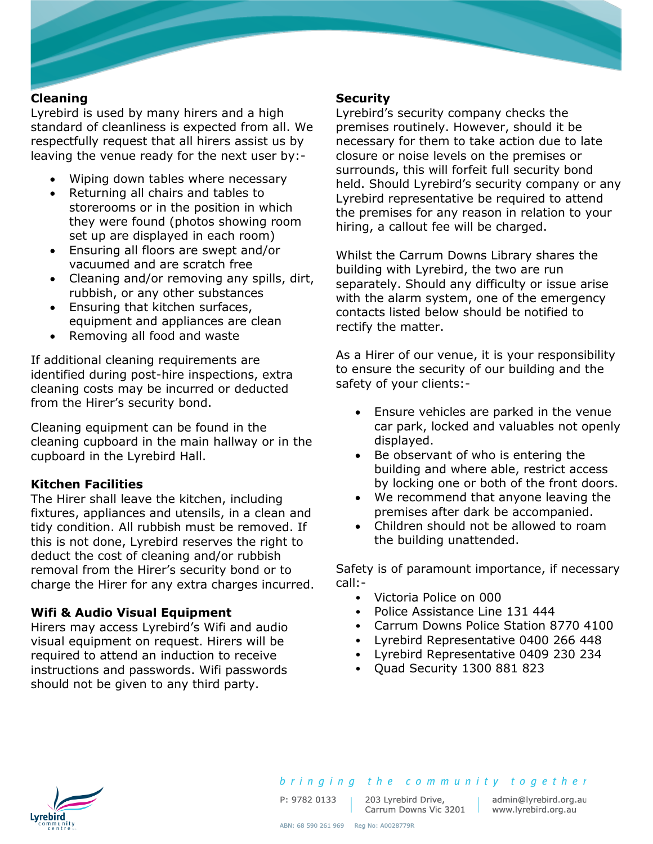### **Cleaning**

Lyrebird is used by many hirers and a high standard of cleanliness is expected from all. We respectfully request that all hirers assist us by leaving the venue ready for the next user by:-

- Wiping down tables where necessary
- Returning all chairs and tables to storerooms or in the position in which they were found (photos showing room set up are displayed in each room)
- Ensuring all floors are swept and/or vacuumed and are scratch free
- Cleaning and/or removing any spills, dirt, rubbish, or any other substances
- Ensuring that kitchen surfaces, equipment and appliances are clean
- Removing all food and waste

If additional cleaning requirements are identified during post-hire inspections, extra cleaning costs may be incurred or deducted from the Hirer's security bond.

Cleaning equipment can be found in the cleaning cupboard in the main hallway or in the cupboard in the Lyrebird Hall.

#### **Kitchen Facilities**

The Hirer shall leave the kitchen, including fixtures, appliances and utensils, in a clean and tidy condition. All rubbish must be removed. If this is not done, Lyrebird reserves the right to deduct the cost of cleaning and/or rubbish removal from the Hirer's security bond or to charge the Hirer for any extra charges incurred.

#### **Wifi & Audio Visual Equipment**

Hirers may access Lyrebird's Wifi and audio visual equipment on request. Hirers will be required to attend an induction to receive instructions and passwords. Wifi passwords should not be given to any third party.

#### **Security**

Lyrebird's security company checks the premises routinely. However, should it be necessary for them to take action due to late closure or noise levels on the premises or surrounds, this will forfeit full security bond held. Should Lyrebird's security company or any Lyrebird representative be required to attend the premises for any reason in relation to your hiring, a callout fee will be charged.

Whilst the Carrum Downs Library shares the building with Lyrebird, the two are run separately. Should any difficulty or issue arise with the alarm system, one of the emergency contacts listed below should be notified to rectify the matter.

As a Hirer of our venue, it is your responsibility to ensure the security of our building and the safety of your clients:-

- Ensure vehicles are parked in the venue car park, locked and valuables not openly displayed.
- Be observant of who is entering the building and where able, restrict access by locking one or both of the front doors.
- We recommend that anyone leaving the premises after dark be accompanied.
- Children should not be allowed to roam the building unattended.

Safety is of paramount importance, if necessary call:-

- Victoria Police on 000
- Police Assistance Line 131 444
- Carrum Downs Police Station 8770 4100
- Lyrebird Representative 0400 266 448
- Lyrebird Representative 0409 230 234
- Quad Security 1300 881 823



P: 9782 0133

203 Lyrebird Drive, Carrum Downs Vic 3201 | www.lyrebird.org.au

bringing the community together

admin@lyrebird.org.au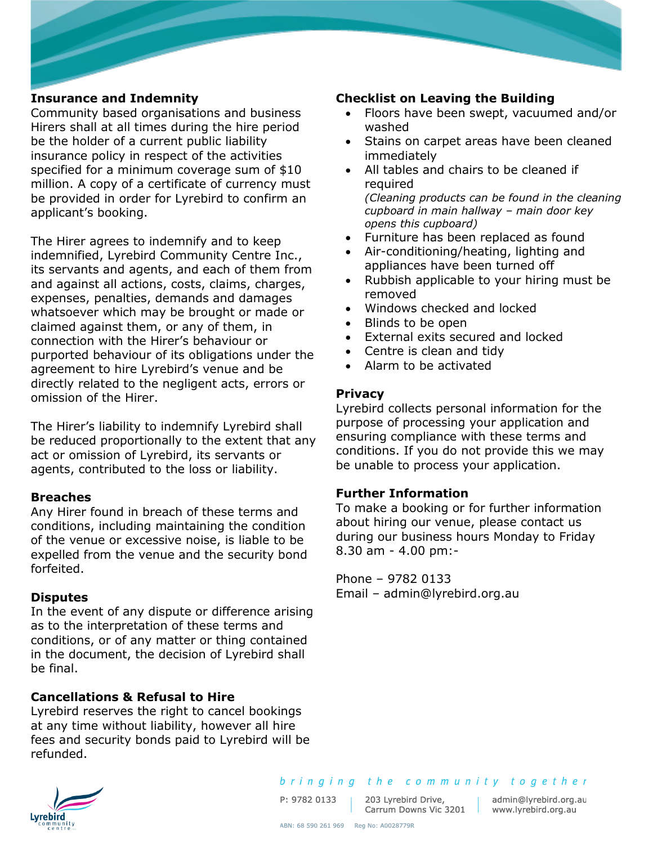# **Insurance and Indemnity**

Community based organisations and business Hirers shall at all times during the hire period be the holder of a current public liability insurance policy in respect of the activities specified for a minimum coverage sum of \$10 million. A copy of a certificate of currency must be provided in order for Lyrebird to confirm an applicant's booking.

The Hirer agrees to indemnify and to keep indemnified, Lyrebird Community Centre Inc., its servants and agents, and each of them from and against all actions, costs, claims, charges, expenses, penalties, demands and damages whatsoever which may be brought or made or claimed against them, or any of them, in connection with the Hirer's behaviour or purported behaviour of its obligations under the agreement to hire Lyrebird's venue and be directly related to the negligent acts, errors or omission of the Hirer.

The Hirer's liability to indemnify Lyrebird shall be reduced proportionally to the extent that any act or omission of Lyrebird, its servants or agents, contributed to the loss or liability.

#### **Breaches**

Any Hirer found in breach of these terms and conditions, including maintaining the condition of the venue or excessive noise, is liable to be expelled from the venue and the security bond forfeited.

# **Disputes**

In the event of any dispute or difference arising as to the interpretation of these terms and conditions, or of any matter or thing contained in the document, the decision of Lyrebird shall be final.

# **Cancellations & Refusal to Hire**

Lyrebird reserves the right to cancel bookings at any time without liability, however all hire fees and security bonds paid to Lyrebird will be refunded.

# **Checklist on Leaving the Building**

- Floors have been swept, vacuumed and/or washed
- Stains on carpet areas have been cleaned immediately
- All tables and chairs to be cleaned if required *(Cleaning products can be found in the cleaning cupboard in main hallway – main door key opens this cupboard)*
- Furniture has been replaced as found
- Air-conditioning/heating, lighting and appliances have been turned off
- Rubbish applicable to your hiring must be removed
- Windows checked and locked
- Blinds to be open
- External exits secured and locked
- Centre is clean and tidy
- Alarm to be activated

# **Privacy**

Lyrebird collects personal information for the purpose of processing your application and ensuring compliance with these terms and conditions. If you do not provide this we may be unable to process your application.

#### **Further Information**

To make a booking or for further information about hiring our venue, please contact us during our business hours Monday to Friday 8.30 am - 4.00 pm:-

Phone – 9782 0133 Email – admin@lyrebird.org.au



P: 9782 0133

203 Lyrebird Drive, 203 Lyrebird Drive, admin@lyrebird.org.au<br>Carrum Downs Vic 3201 www.lyrebird.org.au

admin@lyrebird.org.au